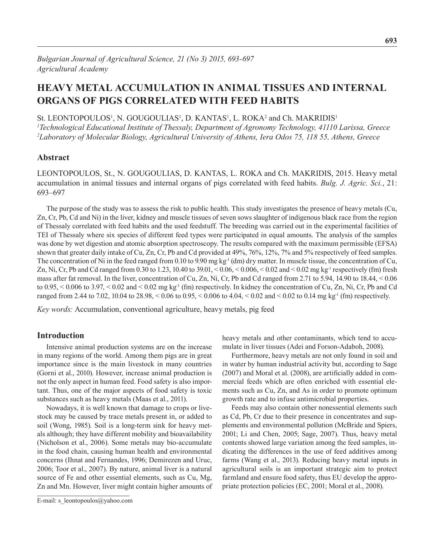# **Heavy Metal Accumulation in Animal Tissues and Internal Organs of Pigs Correlated with Feed Habits**

St. LEONTOPOULOS<sup>1</sup>, N. GOUGOULIAS<sup>1</sup>, D. KANTAS<sup>1</sup>, L. ROKA<sup>2</sup> and Ch. MAKRIDIS<sup>1</sup>

*1 Technological Educational Institute of Thessaly, Department of Agronomy Technology, 41110 Larissa, Greece 2 Laboratory of Molecular Biology, Agricultural University of Athens, Iera Odos 75, 118 55, Athens, Greece*

## **Abstract**

LEONTOPOULOS, St., N. GOUGOULIAS, D. KANTAS, L. ROKA and Ch. MAKRIDIS, 2015. Heavy metal accumulation in animal tissues and internal organs of pigs correlated with feed habits. *Bulg. J. Agric. Sci.*, 21: 693–697

The purpose of the study was to assess the risk to public health. This study investigates the presence of heavy metals (Cu, Zn, Cr, Pb, Cd and Ni) in the liver, kidney and muscle tissues of seven sows slaughter of indigenous black race from the region of Thessaly correlated with feed habits and the used feedstuff. The breeding was carried out in the experimental facilities of TEI of Thessaly where six species of different feed types were participated in equal amounts. The analysis of the samples was done by wet digestion and atomic absorption spectroscopy. The results compared with the maximum permissible (EFSA) shown that greater daily intake of Cu, Zn, Cr, Pb and Cd provided at 49%, 76%, 12%, 7% and 5% respectively of feed samples. The concentration of Ni in the feed ranged from 0.10 to 9.90 mg kg<sup>-1</sup> (dm) dry matter. In muscle tissue, the concentration of Cu, Zn, Ni, Cr, Pb and Cd ranged from 0.30 to 1.23, 10.40 to 39.01,  $\lt 0.06$ ,  $\lt 0.006$ ,  $\lt 0.02$  and  $\lt 0.02$  mg kg<sup>-1</sup> respectively (fm) fresh mass after fat removal. In the liver, concentration of Cu, Zn, Ni, Cr, Pb and Cd ranged from 2.71 to 5.94, 14.90 to 18.44, < 0.06 to  $0.95, \leq 0.006$  to  $3.97, \leq 0.02$  and  $\leq 0.02$  mg kg<sup>-1</sup> (fm) respectively. In kidney the concentration of Cu, Zn, Ni, Cr, Pb and Cd ranged from 2.44 to 7.02, 10.04 to 28.98, < 0.06 to 0.95, < 0.006 to 4.04, < 0.02 and < 0.02 to 0.14 mg kg-1 (fm) respectively.

*Key words:* Accumulation, conventional agriculture, heavy metals, pig feed

# **Introduction**

Intensive animal production systems are on the increase in many regions of the world. Among them pigs are in great importance since is the main livestock in many countries (Gorni et al., 2010). However, increase animal production is not the only aspect in human feed. Food safety is also important. Thus, one of the major aspects of food safety is toxic substances such as heavy metals (Maas et al., 2011).

Nowadays, it is well known that damage to crops or livestock may be caused by trace metals present in, or added to soil (Wong, 1985). Soil is a long-term sink for heavy metals although; they have different mobility and bioavailability (Nicholson et al., 2006). Some metals may bio-accumulate in the food chain, causing human health and environmental concerns (Ihnat and Fernandes, 1996; Demirezen and Uruc, 2006; Toor et al., 2007). By nature, animal liver is a natural source of Fe and other essential elements, such as Cu, Mg, Zn and Mn. However, liver might contain higher amounts of heavy metals and other contaminants, which tend to accumulate in liver tissues (Adei and Forson-Adaboh, 2008).

Furthermore, heavy metals are not only found in soil and in water by human industrial activity but, according to Sage (2007) and Moral et al. (2008), are artificially added in commercial feeds which are often enriched with essential elements such as Cu, Zn, and As in order to promote optimum growth rate and to infuse antimicrobial properties.

Feeds may also contain other nonessential elements such as Cd, Pb, Cr due to their presence in concentrates and supplements and environmental pollution (McBride and Spiers, 2001; Li and Chen, 2005; Sage, 2007). Thus, heavy metal contents showed large variation among the feed samples, indicating the differences in the use of feed additives among farms (Wang et al., 2013). Reducing heavy metal inputs in agricultural soils is an important strategic aim to protect farmland and ensure food safety, thus EU develop the appropriate protection policies (EC, 2001; Moral et al., 2008).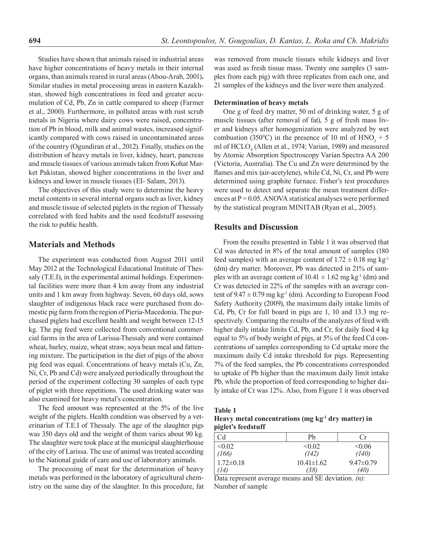Studies have shown that animals raised in industrial areas have higher concentrations of heavy metals in their internal organs, than animals reared in rural areas (Abou-Arab, 2001)**.** Similar studies in metal processing areas in eastern Kazakhstan, showed high concentrations in feed and greater accumulation of Cd, Pb, Zn in cattle compared to sheep (Farmer et al., 2000). Furthermore, in polluted areas with rust scrub metals in Nigeria where dairy cows were raised, concentration of Pb in blood, milk and animal wastes, increased significantly compared with cows raised in uncontaminated areas of the country (Ogundiran et al., 2012). Finally, studies on the distribution of heavy metals in liver, kidney, heart, pancreas and muscle tissues of various animals taken from Kohat Market Pakistan, showed higher concentrations in the liver and kidneys and lower in muscle tissues (EI- Salam, 2013).

The objectives of this study were to determine the heavy metal contents in several internal organs such as liver, kidney and muscle tissue of selected piglets in the region of Thessaly correlated with feed habits and the used feedstuff assessing the risk to public health.

## **Materials and Methods**

The experiment was conducted from August 2011 until May 2012 at the Technological Educational Institute of Thessaly (T.E.I), in the experimental animal holdings. Experimental facilities were more than 4 km away from any industrial units and 1 km away from highway. Seven, 60 days old, sows slaughter of indigenous black race were purchased from domestic pig farm from the region of Pieria-Macedonia. The purchased piglets had excellent health and weight between 12-15 kg. The pig feed were collected from conventional commercial farms in the area of Larissa-Thessaly and were contained wheat, barley, maize, wheat straw, soya bean meal and fattening mixture. The participation in the diet of pigs of the above pig feed was equal. Concentrations of heavy metals (Cu, Zn, Ni, Cr, Pb and Cd) were analyzed periodically throughout the period of the experiment collecting 30 samples of each type of piglet with three repetitions. The used drinking water was also examined for heavy metal's concentration.

The feed amount was represented at the 5% of the live weight of the piglets. Health condition was observed by a veterinarian of T.E.I of Thessaly. The age of the slaughter pigs was 350 days old and the weight of them varies about 90 kg. The slaughter were took place at the municipal slaughterhouse of the city of Larissa. The use of animal was treated according to the National guide of care and use of laboratory animals.

The processing of meat for the determination of heavy metals was performed in the laboratory of agricultural chemistry on the same day of the slaughter. In this procedure, fat was removed from muscle tissues while kidneys and liver was used as fresh tissue mass. Twenty one samples (3 samples from each pig) with three replicates from each one, and 21 samples of the kidneys and the liver were then analyzed.

#### **Determination of heavy metals**

One g of feed dry matter, 50 ml of drinking water, 5 g of muscle tissues (after removal of fat), 5 g of fresh mass liver and kidneys after homogenization were analyzed by wet combustion (350<sup>o</sup>C) in the presence of 10 ml of  $HNO<sub>3</sub> + 5$ ml of HCLO<sub>4</sub> (Allen et al., 1974; Varian, 1989) and measured by Atomic Absorption Spectroscopy Varian Spectra AA 200 (Victoria, Australia). The Cu and Zn were determined by the flames and mix (air-acetylene), while Cd, Ni, Cr, and Pb were determined using graphite furnace. Fisher's test procedures were used to detect and separate the mean treatment differences at  $P = 0.05$ . ANOVA statistical analyses were performed by the statistical program MINITAB (Ryan et al., 2005).

## **Results and Discussion**

From the results presented in Table 1 it was observed that Cd was detected in 8% of the total amount of samples (180 feed samples) with an average content of  $1.72 \pm 0.18$  mg kg<sup>-1</sup> (dm) dry matter. Moreover, Pb was detected in 21% of samples with an average content of  $10.41 \pm 1.62$  mg kg<sup>-1</sup> (dm) and Cr was detected in 22% of the samples with an average content of  $9.47 \pm 0.79$  mg kg<sup>-1</sup> (dm). According to European Food Safety Authority (2009), the maximum daily intake limits of Cd, Pb, Cr for full board in pigs are 1, 10 and 13.3 mg respectively. Comparing the results of the analyzes of feed with higher daily intake limits Cd, Pb, and Cr, for daily food 4 kg equal to 5% of body weight of pigs, at 5% of the feed Cd concentrations of samples corresponding to Cd uptake more the maximum daily Cd intake threshold for pigs. Representing 7% of the feed samples, the Pb concentrations corresponded to uptake of Pb higher than the maximum daily limit intake Pb, while the proportion of feed corresponding to higher daily intake of Cr was 12%. Also, from Figure 1 it was observed

**Table 1** 

**Heavy metal concentrations (mg kg-1 dry matter) in piglet's feedstuff** 

| Cd              | Pb               | Cr              |
|-----------------|------------------|-----------------|
| < 0.02          | < 0.02           | <0.06           |
| (166)           | (142)            | (140)           |
| $1.72 \pm 0.18$ | $10.41 \pm 1.62$ | $9.47 \pm 0.79$ |
| 74)             | (38)             | (40)            |

Data represent average means and SE deviation. *(n)*: Number of sample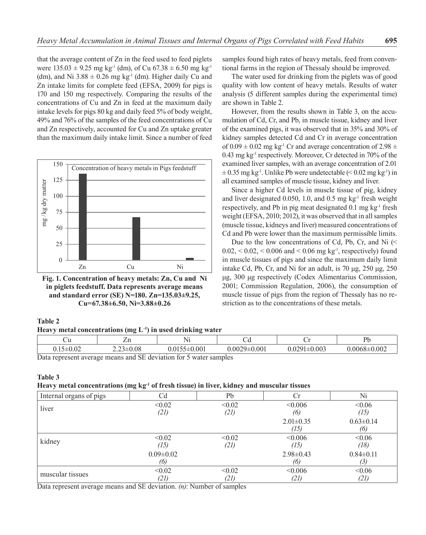that the average content of Zn in the feed used to feed piglets were  $135.03 \pm 9.25$  mg kg<sup>-1</sup> (dm), of Cu 67.38  $\pm$  6.50 mg kg<sup>-1</sup> (dm), and Ni  $3.88 \pm 0.26$  mg kg<sup>-1</sup> (dm). Higher daily Cu and Zn intake limits for complete feed (EFSA, 2009) for pigs is 170 and 150 mg respectively. Comparing the results of the concentrations of Cu and Zn in feed at the maximum daily intake levels for pigs 80 kg and daily feed 5% of body weight, 49% and 76% of the samples of the feed concentrations of Cu and Zn respectively, accounted for Cu and Zn uptake greater than the maximum daily intake limit. Since a number of feed



**Fig. 1. Concentration of heavy metals: Zn, Cu and Ni in piglets feedstuff. Data represents average means and standard error (SE) N=180. Zn=135.03±9.25, Cu=67.38±6.50, Ni=3.88±0.26**

#### **Table 2**

|  | Heavy metal concentrations (mg $L^{-1}$ ) in used drinking water |  |  |  |  |
|--|------------------------------------------------------------------|--|--|--|--|
|--|------------------------------------------------------------------|--|--|--|--|

| ∪u                                                                                                                                                                                                            |                          | $\sim$<br>N1 | ◡ч                 |                    | Dŀ                 |
|---------------------------------------------------------------------------------------------------------------------------------------------------------------------------------------------------------------|--------------------------|--------------|--------------------|--------------------|--------------------|
|                                                                                                                                                                                                               | $3 \pm 0.08$<br>$73 + 1$ | $\pm 0.001$  | $0.0029 \pm 0.001$ | $0.0291 \pm 0.003$ | $0.0068 \pm 0.002$ |
| $\mathbf{D}_{\text{eff}}$ and $\mathbf{D}_{\text{eff}}$ and $\mathbf{D}_{\text{eff}}$ and $\mathbf{D}_{\text{eff}}$ and $\mathbf{D}_{\text{eff}}$ and $\mathbf{D}_{\text{eff}}$ and $\mathbf{D}_{\text{eff}}$ |                          |              |                    |                    |                    |

Data represent average means and SE deviation for 5 water samples

#### **Table 3**

#### **Heavy metal concentrations (mg kg-1 of fresh tissue) in liver, kidney and muscular tissues**

| Internal organs of pigs | Cd              | Pb     | Cr              | Ni              |
|-------------------------|-----------------|--------|-----------------|-----------------|
| liver                   | < 0.02          | < 0.02 | < 0.006         | <0.06           |
|                         | (21)            | (21)   | (6)             | (15)            |
|                         |                 |        | $2.01 \pm 0.35$ | $0.63 \pm 0.14$ |
|                         |                 |        | (15)            | (6)             |
| kidney                  | < 0.02          | < 0.02 | < 0.006         | < 0.06          |
|                         | (15)            | (21)   | (15)            | (18)            |
|                         | $0.09 \pm 0.02$ |        | $2.98 \pm 0.43$ | $0.84 \pm 0.11$ |
|                         | (6)             |        | (6)             | (3)             |
| muscular tissues        | < 0.02          | < 0.02 | <0.006          | <0.06           |
|                         | (21)            | (21)   | (21)            | (21)            |

Data represent average means and SE deviation. *(n)*: Number of samples

samples found high rates of heavy metals, feed from conventional farms in the region of Thessaly should be improved.

The water used for drinking from the piglets was of good quality with low content of heavy metals. Results of water analysis (5 different samples during the experimental time) are shown in Table 2.

However, from the results shown in Table 3, on the accumulation of Cd, Cr, and Pb, in muscle tissue, kidney and liver of the examined pigs, it was observed that in 35% and 30% of kidney samples detected Cd and Cr in average concentration of  $0.09 \pm 0.02$  mg kg<sup>-1</sup> Cr and average concentration of 2.98  $\pm$ 0.43 mg kg-1 respectively. Moreover, Cr detected in 70% of the examined liver samples, with an average concentration of 2.01  $\pm$  0.35 mg kg<sup>-1</sup>. Unlike Pb were undetectable (< 0.02 mg kg<sup>-1</sup>) in all examined samples of muscle tissue, kidney and liver.

Since a higher Cd levels in muscle tissue of pig, kidney and liver designated 0.050, 1.0, and 0.5 mg kg-1 fresh weight respectively, and Pb in pig meat designated  $0.1 \text{ mg kg}^{-1}$  fresh weight (EFSA, 2010; 2012), it was observed that in all samples (muscle tissue, kidneys and liver) measured concentrations of Cd and Pb were lower than the maximum permissible limits.

Due to the low concentrations of Cd, Pb, Cr, and Ni (<  $0.02, < 0.02, < 0.006$  and  $< 0.06$  mg kg<sup>-1</sup>, respectively) found in muscle tissues of pigs and since the maximum daily limit intake Cd, Pb, Cr, and Ni for an adult, is 70 μg, 250 μg, 250 μg, 300 μg respectively (Codex Alimentarius Commission, 2001; Commission Regulation, 2006), the consumption of muscle tissue of pigs from the region of Thessaly has no restriction as to the concentrations of these metals.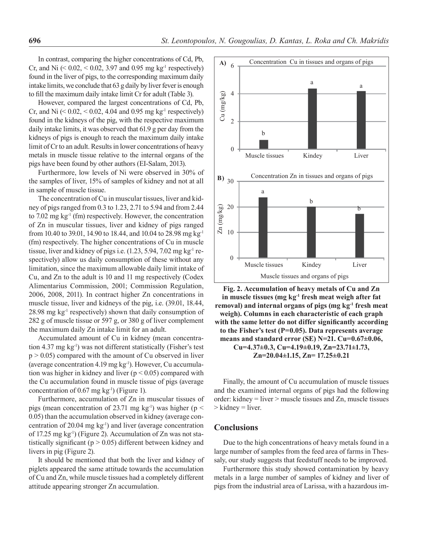In contrast, comparing the higher concentrations of Cd, Pb, Cr, and Ni  $(0.02, 0.02, 3.97, 3.97)$  and 0.95 mg kg<sup>-1</sup> respectively found in the liver of pigs, to the corresponding maximum daily intake limits, we conclude that 63 g daily by liver fever is enough to fill the maximum daily intake limit Cr for adult (Table 3).

However, compared the largest concentrations of Cd, Pb, Cr, and Ni  $(< 0.02, < 0.02, 4.04$  and 0.95 mg kg<sup>-1</sup> respectively) found in the kidneys of the pig, with the respective maximum daily intake limits, it was observed that 61.9 g per day from the kidneys of pigs is enough to reach the maximum daily intake limit of Cr to an adult. Results in lower concentrations of heavy metals in muscle tissue relative to the internal organs of the pigs have been found by other authors (EI-Salam, 2013).

Furthermore, low levels of Ni were observed in 30% of the samples of liver, 15% of samples of kidney and not at all in sample of muscle tissue.

The concentration of Cu in muscular tissues, liver and kidney of pigs ranged from 0.3 to 1.23, 2.71 to 5.94 and from 2.44 to 7.02 mg kg-1 (fm) respectively. However, the concentration of Zn in muscular tissues, liver and kidney of pigs ranged from 10.40 to 39.01, 14.90 to 18.44, and 10.04 to 28.98 mg kg-1 (fm) respectively. The higher concentrations of Cu in muscle tissue, liver and kidney of pigs i.e. (1.23, 5.94, 7.02 mg kg<sup>-1</sup> respectively) allow us daily consumption of these without any limitation, since the maximum allowable daily limit intake of Cu, and Zn to the adult is 10 and 11 mg respectively (Codex Alimentarius Commission, 2001; Commission Regulation, 2006, 2008, 2011). In contract higher Zn concentrations in muscle tissue, liver and kidneys of the pig, i.e. (39.01, 18.44, 28.98 mg kg-1 respectively) shown that daily consumption of 282 g of muscle tissue or 597 g, or 380 g of liver complement the maximum daily Zn intake limit for an adult.

Accumulated amount of Cu in kidney (mean concentration 4.37 mg  $kg^{-1}$ ) was not different statistically (Fisher's test  $p > 0.05$ ) compared with the amount of Cu observed in liver (average concentration 4.19 mg kg-1). However, Cu accumulation was higher in kidney and liver ( $p < 0.05$ ) compared with the Cu accumulation found in muscle tissue of pigs (average concentration of  $0.67$  mg kg<sup>-1</sup>) (Figure 1).

Furthermore, accumulation of Zn in muscular tissues of pigs (mean concentration of 23.71 mg kg<sup>-1</sup>) was higher ( $p <$ 0.05) than the accumulation observed in kidney (average concentration of 20.04 mg  $kg<sup>-1</sup>$ ) and liver (average concentration of 17.25 mg kg-1) (Figure 2). Accumulation of Zn was not statistically significant ( $p > 0.05$ ) different between kidney and livers in pig (Figure 2).

It should be mentioned that both the liver and kidney of piglets appeared the same attitude towards the accumulation of Cu and Zn, while muscle tissues had a completely different attitude appearing stronger Zn accumulation.



**Fig. 2. Accumulation of heavy metals of Cu and Zn**  in muscle tissues (mg kg<sup>-1</sup> fresh meat weigh after fat **removal) and internal organs of pigs (mg kg-1 fresh meat weigh). Columns in each characteristic of each graph with the same letter do not differ significantly according to the Fisher's test (P=0.05). Data represents average means and standard error (SE) N=21. Cu=0.67±0.06, Cu=4.37±0.3, Cu=4.19±0.19, Zn=23.71±1.73, Zn=20.04±1.15, Zn= 17.25±0.21**

Finally, the amount of Cu accumulation of muscle tissues and the examined internal organs of pigs had the following order: kidney = liver > muscle tissues and  $Zn$ , muscle tissues  $>$  kidney = liver.

# **Conclusions**

Due to the high concentrations of heavy metals found in a large number of samples from the feed area of farms in Thessaly, our study suggests that feedstuff needs to be improved.

Furthermore this study showed contamination by heavy metals in a large number of samples of kidney and liver of pigs from the industrial area of Larissa, with a hazardous im